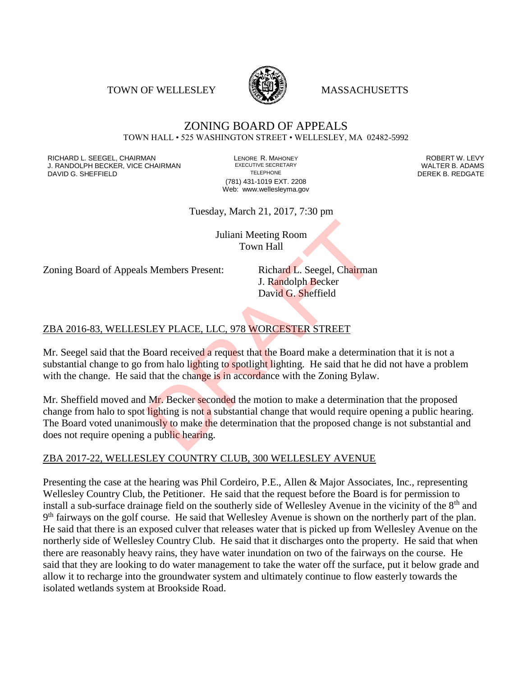TOWN OF WELLESLEY **WASSACHUSETTS** 



## ZONING BOARD OF APPEALS TOWN HALL • 525 WASHINGTON STREET • WELLESLEY, MA 02482-5992

RICHARD L. SEEGEL, CHAIRMAN LENORE R. MAHONEY ROBERT W. LEVY J. RANDOLPH BECKER, VICE CHAIRMAN EXECUTIVE SECRETARY THE SECRETARY THE SANDOLPH BECKER B. ADAMS<br>DEREK B. REDGATE DAVID G. SHEFFIELD

(781) 431-1019 EXT. 2208 Web: www.wellesleyma.gov

Tuesday, March 21, 2017, 7:30 pm

Juliani Meeting Room Town Hall

Zoning Board of Appeals Members Present: Richard L. Seegel, Chairman

J. Randolph Becker David G. Sheffield

## ZBA 2016-83, WELLESLEY PLACE, LLC, 978 WORCESTER STREET

Mr. Seegel said that the Board received a request that the Board make a determination that it is not a substantial change to go from halo lighting to spotlight lighting. He said that he did not have a problem with the change. He said that the change is in accordance with the Zoning Bylaw.

Mr. Sheffield moved and Mr. Becker seconded the motion to make a determination that the proposed change from halo to spot lighting is not a substantial change that would require opening a public hearing. The Board voted unanimously to make the determination that the proposed change is not substantial and does not require opening a public hearing. Juliani Meeting Room<br>
Town Hall<br>
S. Members Present: Richard L. Seegel, Chairman<br>
J. Randolph Becker<br>
David G. Sheffield<br>
DEY PLACE, LLC, 978 WORCESTER STREET<br>
Board received a request that the Board make a determination<br>

## ZBA 2017-22, WELLESLEY COUNTRY CLUB, 300 WELLESLEY AVENUE

Presenting the case at the hearing was Phil Cordeiro, P.E., Allen & Major Associates, Inc., representing Wellesley Country Club, the Petitioner. He said that the request before the Board is for permission to install a sub-surface drainage field on the southerly side of Wellesley Avenue in the vicinity of the 8<sup>th</sup> and 9<sup>th</sup> fairways on the golf course. He said that Wellesley Avenue is shown on the northerly part of the plan. He said that there is an exposed culver that releases water that is picked up from Wellesley Avenue on the northerly side of Wellesley Country Club. He said that it discharges onto the property. He said that when there are reasonably heavy rains, they have water inundation on two of the fairways on the course. He said that they are looking to do water management to take the water off the surface, put it below grade and allow it to recharge into the groundwater system and ultimately continue to flow easterly towards the isolated wetlands system at Brookside Road.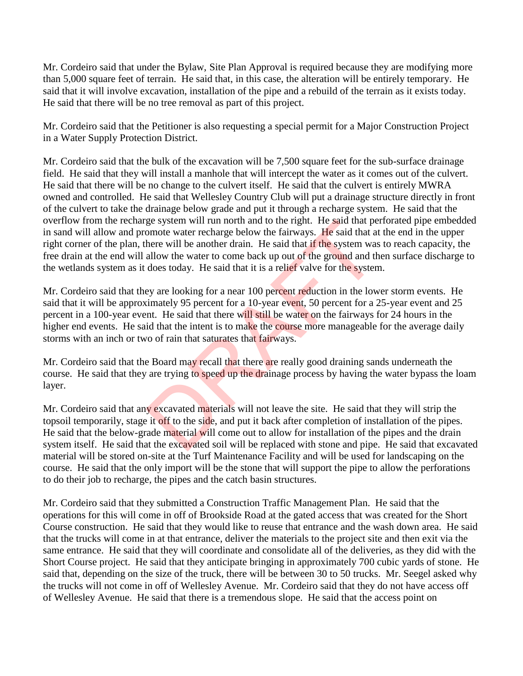Mr. Cordeiro said that under the Bylaw, Site Plan Approval is required because they are modifying more than 5,000 square feet of terrain. He said that, in this case, the alteration will be entirely temporary. He said that it will involve excavation, installation of the pipe and a rebuild of the terrain as it exists today. He said that there will be no tree removal as part of this project.

Mr. Cordeiro said that the Petitioner is also requesting a special permit for a Major Construction Project in a Water Supply Protection District.

Mr. Cordeiro said that the bulk of the excavation will be 7,500 square feet for the sub-surface drainage field. He said that they will install a manhole that will intercept the water as it comes out of the culvert. He said that there will be no change to the culvert itself. He said that the culvert is entirely MWRA owned and controlled. He said that Wellesley Country Club will put a drainage structure directly in front of the culvert to take the drainage below grade and put it through a recharge system. He said that the overflow from the recharge system will run north and to the right. He said that perforated pipe embedded in sand will allow and promote water recharge below the fairways. He said that at the end in the upper right corner of the plan, there will be another drain. He said that if the system was to reach capacity, the free drain at the end will allow the water to come back up out of the ground and then surface discharge to the wetlands system as it does today. He said that it is a relief valve for the system.

Mr. Cordeiro said that they are looking for a near 100 percent reduction in the lower storm events. He said that it will be approximately 95 percent for a 10-year event, 50 percent for a 25-year event and 25 percent in a 100-year event. He said that there will still be water on the fairways for 24 hours in the higher end events. He said that the intent is to make the course more manageable for the average daily storms with an inch or two of rain that saturates that fairways. ge system will run north and to the right. He said that pe<br>omote water recharge below the fairways. He said that a<br>here will be another drain. He said that if the system was<br>allow the water to come back up out of the groun

Mr. Cordeiro said that the Board may recall that there are really good draining sands underneath the course. He said that they are trying to speed up the drainage process by having the water bypass the loam layer.

Mr. Cordeiro said that any excavated materials will not leave the site. He said that they will strip the topsoil temporarily, stage it off to the side, and put it back after completion of installation of the pipes. He said that the below-grade material will come out to allow for installation of the pipes and the drain system itself. He said that the excavated soil will be replaced with stone and pipe. He said that excavated material will be stored on-site at the Turf Maintenance Facility and will be used for landscaping on the course. He said that the only import will be the stone that will support the pipe to allow the perforations to do their job to recharge, the pipes and the catch basin structures.

Mr. Cordeiro said that they submitted a Construction Traffic Management Plan. He said that the operations for this will come in off of Brookside Road at the gated access that was created for the Short Course construction. He said that they would like to reuse that entrance and the wash down area. He said that the trucks will come in at that entrance, deliver the materials to the project site and then exit via the same entrance. He said that they will coordinate and consolidate all of the deliveries, as they did with the Short Course project. He said that they anticipate bringing in approximately 700 cubic yards of stone. He said that, depending on the size of the truck, there will be between 30 to 50 trucks. Mr. Seegel asked why the trucks will not come in off of Wellesley Avenue. Mr. Cordeiro said that they do not have access off of Wellesley Avenue. He said that there is a tremendous slope. He said that the access point on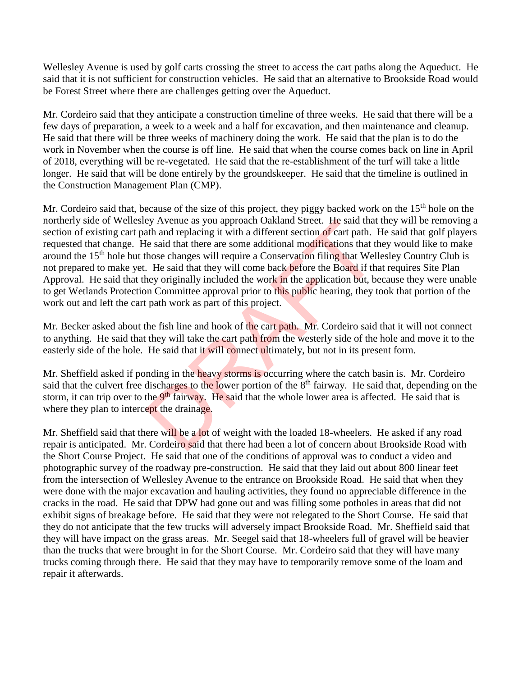Wellesley Avenue is used by golf carts crossing the street to access the cart paths along the Aqueduct. He said that it is not sufficient for construction vehicles. He said that an alternative to Brookside Road would be Forest Street where there are challenges getting over the Aqueduct.

Mr. Cordeiro said that they anticipate a construction timeline of three weeks. He said that there will be a few days of preparation, a week to a week and a half for excavation, and then maintenance and cleanup. He said that there will be three weeks of machinery doing the work. He said that the plan is to do the work in November when the course is off line. He said that when the course comes back on line in April of 2018, everything will be re-vegetated. He said that the re-establishment of the turf will take a little longer. He said that will be done entirely by the groundskeeper. He said that the timeline is outlined in the Construction Management Plan (CMP).

Mr. Cordeiro said that, because of the size of this project, they piggy backed work on the 15<sup>th</sup> hole on the northerly side of Wellesley Avenue as you approach Oakland Street. He said that they will be removing a section of existing cart path and replacing it with a different section of cart path. He said that golf players requested that change. He said that there are some additional modifications that they would like to make around the 15th hole but those changes will require a Conservation filing that Wellesley Country Club is not prepared to make yet. He said that they will come back before the Board if that requires Site Plan Approval. He said that they originally included the work in the application but, because they were unable to get Wetlands Protection Committee approval prior to this public hearing, they took that portion of the work out and left the cart path work as part of this project. by Avenue as you approach Oakland Street. He said that<br>th and replacing it with a different section of cart path. If<br>e said that there are some additional modifications that th<br>hose changes will require a Conservation fili

Mr. Becker asked about the fish line and hook of the cart path. Mr. Cordeiro said that it will not connect to anything. He said that they will take the cart path from the westerly side of the hole and move it to the easterly side of the hole. He said that it will connect ultimately, but not in its present form.

Mr. Sheffield asked if ponding in the heavy storms is occurring where the catch basin is. Mr. Cordeiro said that the culvert free discharges to the lower portion of the 8<sup>th</sup> fairway. He said that, depending on the storm, it can trip over to the 9<sup>th</sup> fairway. He said that the whole lower area is affected. He said that is where they plan to intercept the drainage.

Mr. Sheffield said that there will be a lot of weight with the loaded 18-wheelers. He asked if any road repair is anticipated. Mr. Cordeiro said that there had been a lot of concern about Brookside Road with the Short Course Project. He said that one of the conditions of approval was to conduct a video and photographic survey of the roadway pre-construction. He said that they laid out about 800 linear feet from the intersection of Wellesley Avenue to the entrance on Brookside Road. He said that when they were done with the major excavation and hauling activities, they found no appreciable difference in the cracks in the road. He said that DPW had gone out and was filling some potholes in areas that did not exhibit signs of breakage before. He said that they were not relegated to the Short Course. He said that they do not anticipate that the few trucks will adversely impact Brookside Road. Mr. Sheffield said that they will have impact on the grass areas. Mr. Seegel said that 18-wheelers full of gravel will be heavier than the trucks that were brought in for the Short Course. Mr. Cordeiro said that they will have many trucks coming through there. He said that they may have to temporarily remove some of the loam and repair it afterwards.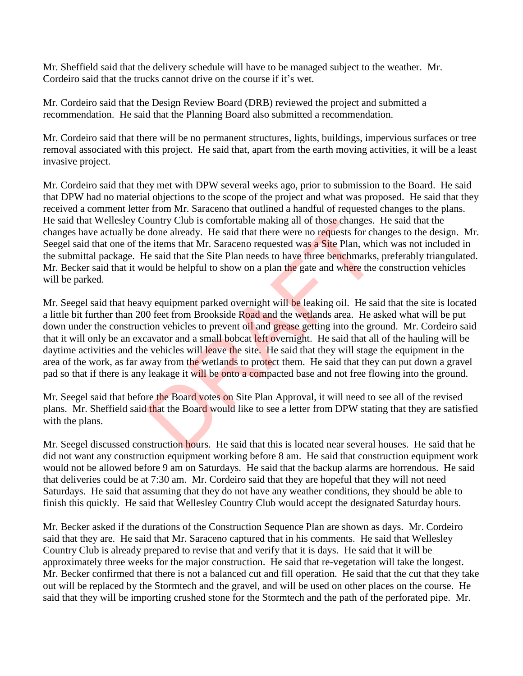Mr. Sheffield said that the delivery schedule will have to be managed subject to the weather. Mr. Cordeiro said that the trucks cannot drive on the course if it's wet.

Mr. Cordeiro said that the Design Review Board (DRB) reviewed the project and submitted a recommendation. He said that the Planning Board also submitted a recommendation.

Mr. Cordeiro said that there will be no permanent structures, lights, buildings, impervious surfaces or tree removal associated with this project. He said that, apart from the earth moving activities, it will be a least invasive project.

Mr. Cordeiro said that they met with DPW several weeks ago, prior to submission to the Board. He said that DPW had no material objections to the scope of the project and what was proposed. He said that they received a comment letter from Mr. Saraceno that outlined a handful of requested changes to the plans. He said that Wellesley Country Club is comfortable making all of those changes. He said that the changes have actually be done already. He said that there were no requests for changes to the design. Mr. Seegel said that one of the items that Mr. Saraceno requested was a Site Plan, which was not included in the submittal package. He said that the Site Plan needs to have three benchmarks, preferably triangulated. Mr. Becker said that it would be helpful to show on a plan the gate and where the construction vehicles will be parked.

Mr. Seegel said that heavy equipment parked overnight will be leaking oil. He said that the site is located a little bit further than 200 feet from Brookside Road and the wetlands area. He asked what will be put down under the construction vehicles to prevent oil and grease getting into the ground. Mr. Cordeiro said that it will only be an excavator and a small bobcat left overnight. He said that all of the hauling will be daytime activities and the vehicles will leave the site. He said that they will stage the equipment in the area of the work, as far away from the wetlands to protect them. He said that they can put down a gravel pad so that if there is any leakage it will be onto a compacted base and not free flowing into the ground. ountry Club is comfortable making all of those changes.<br>
done already. He said that there were no requests for ch<br>
e items that Mr. Saraceno requested was **a Site** Plan, whi<br>
le said that the Site Plan needs to have three

Mr. Seegel said that before the Board votes on Site Plan Approval, it will need to see all of the revised plans. Mr. Sheffield said that the Board would like to see a letter from DPW stating that they are satisfied with the plans.

Mr. Seegel discussed construction hours. He said that this is located near several houses. He said that he did not want any construction equipment working before 8 am. He said that construction equipment work would not be allowed before 9 am on Saturdays. He said that the backup alarms are horrendous. He said that deliveries could be at 7:30 am. Mr. Cordeiro said that they are hopeful that they will not need Saturdays. He said that assuming that they do not have any weather conditions, they should be able to finish this quickly. He said that Wellesley Country Club would accept the designated Saturday hours.

Mr. Becker asked if the durations of the Construction Sequence Plan are shown as days. Mr. Cordeiro said that they are. He said that Mr. Saraceno captured that in his comments. He said that Wellesley Country Club is already prepared to revise that and verify that it is days. He said that it will be approximately three weeks for the major construction. He said that re-vegetation will take the longest. Mr. Becker confirmed that there is not a balanced cut and fill operation. He said that the cut that they take out will be replaced by the Stormtech and the gravel, and will be used on other places on the course. He said that they will be importing crushed stone for the Stormtech and the path of the perforated pipe. Mr.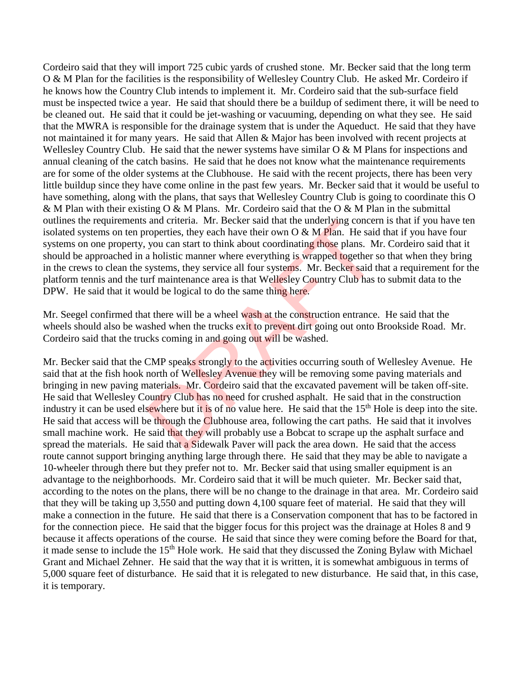Cordeiro said that they will import 725 cubic yards of crushed stone. Mr. Becker said that the long term O & M Plan for the facilities is the responsibility of Wellesley Country Club. He asked Mr. Cordeiro if he knows how the Country Club intends to implement it. Mr. Cordeiro said that the sub-surface field must be inspected twice a year. He said that should there be a buildup of sediment there, it will be need to be cleaned out. He said that it could be jet-washing or vacuuming, depending on what they see. He said that the MWRA is responsible for the drainage system that is under the Aqueduct. He said that they have not maintained it for many years. He said that Allen & Major has been involved with recent projects at Wellesley Country Club. He said that the newer systems have similar O & M Plans for inspections and annual cleaning of the catch basins. He said that he does not know what the maintenance requirements are for some of the older systems at the Clubhouse. He said with the recent projects, there has been very little buildup since they have come online in the past few years. Mr. Becker said that it would be useful to have something, along with the plans, that says that Wellesley Country Club is going to coordinate this O & M Plan with their existing O & M Plans. Mr. Cordeiro said that the O & M Plan in the submittal outlines the requirements and criteria. Mr. Becker said that the underlying concern is that if you have ten isolated systems on ten properties, they each have their own  $O & M$  Plan. He said that if you have four systems on one property, you can start to think about coordinating those plans. Mr. Cordeiro said that it should be approached in a holistic manner where everything is wrapped together so that when they bring in the crews to clean the systems, they service all four systems. Mr. Becker said that a requirement for the platform tennis and the turf maintenance area is that Wellesley Country Club has to submit data to the DPW. He said that it would be logical to do the same thing here.

Mr. Seegel confirmed that there will be a wheel wash at the construction entrance. He said that the wheels should also be washed when the trucks exit to prevent dirt going out onto Brookside Road. Mr. Cordeiro said that the trucks coming in and going out will be washed.

Mr. Becker said that the CMP speaks strongly to the activities occurring south of Wellesley Avenue. He said that at the fish hook north of Wellesley Avenue they will be removing some paving materials and bringing in new paving materials. Mr. Cordeiro said that the excavated pavement will be taken off-site. He said that Wellesley Country Club has no need for crushed asphalt. He said that in the construction industry it can be used elsewhere but it is of no value here. He said that the 15<sup>th</sup> Hole is deep into the site. He said that access will be through the Clubhouse area, following the cart paths. He said that it involves small machine work. He said that they will probably use a Bobcat to scrape up the asphalt surface and spread the materials. He said that a Sidewalk Paver will pack the area down. He said that the access route cannot support bringing anything large through there. He said that they may be able to navigate a 10-wheeler through there but they prefer not to. Mr. Becker said that using smaller equipment is an advantage to the neighborhoods. Mr. Cordeiro said that it will be much quieter. Mr. Becker said that, according to the notes on the plans, there will be no change to the drainage in that area. Mr. Cordeiro said that they will be taking up 3,550 and putting down 4,100 square feet of material. He said that they will make a connection in the future. He said that there is a Conservation component that has to be factored in for the connection piece. He said that the bigger focus for this project was the drainage at Holes 8 and 9 because it affects operations of the course. He said that since they were coming before the Board for that, it made sense to include the 15th Hole work. He said that they discussed the Zoning Bylaw with Michael Grant and Michael Zehner. He said that the way that it is written, it is somewhat ambiguous in terms of 5,000 square feet of disturbance. He said that it is relegated to new disturbance. He said that, in this case, it is temporary. and criteria. Mr. Becker said that the underlying concer<br>roperties, they each have their own O & M Plan. He said<br>you can start to think about coordinating those plans. M<br>a holistic manner where everything is wrapped toget